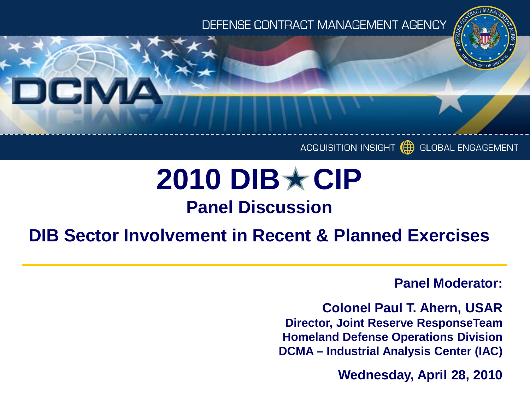## DEFENSE CONTRACT MANAGEMENT AGENCY



#### ACQUISITION INSIGHT **GLOBAL ENGAGEMENT**

# **2010 DIB★CIP**

# **Panel Discussion**

# **DIB Sector Involvement in Recent & Planned Exercises**

**Panel Moderator:**

**Colonel Paul T. Ahern, USAR Director, Joint Reserve ResponseTeam Homeland Defense Operations Division DCMA – Industrial Analysis Center (IAC)**

**Wednesday, April 28, 2010**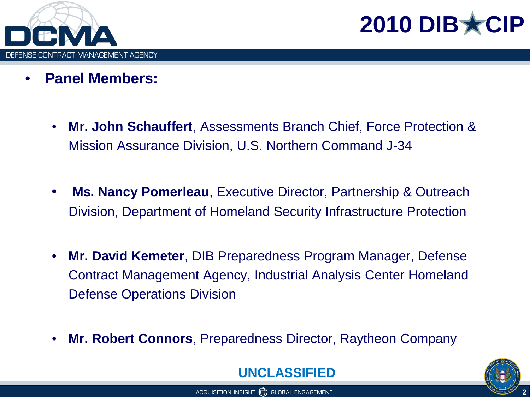

2010 DIB \*

- **Panel Members:**
	- **Mr. John Schauffert**, Assessments Branch Chief, Force Protection & Mission Assurance Division, U.S. Northern Command J-34
	- **Ms. Nancy Pomerleau**, Executive Director, Partnership & Outreach Division, Department of Homeland Security Infrastructure Protection
	- **Mr. David Kemeter**, DIB Preparedness Program Manager, Defense Contract Management Agency, Industrial Analysis Center Homeland Defense Operations Division
	- **Mr. Robert Connors**, Preparedness Director, Raytheon Company



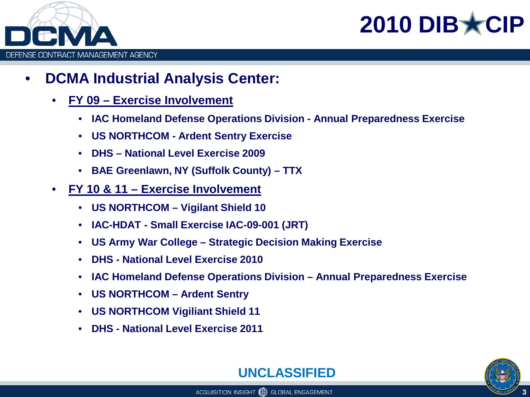



- **DCMA Industrial Analysis Center:**
	- **FY 09 – Exercise Involvement**
		- **IAC Homeland Defense Operations Division - Annual Preparedness Exercise**
		- **US NORTHCOM - Ardent Sentry Exercise**
		- **DHS – National Level Exercise 2009**
		- **BAE Greenlawn, NY (Suffolk County) – TTX**
	- **FY 10 & 11 – Exercise Involvement**
		- **US NORTHCOM – Vigilant Shield 10**
		- **IAC-HDAT - Small Exercise IAC-09-001 (JRT)**
		- **US Army War College – Strategic Decision Making Exercise**
		- **DHS - National Level Exercise 2010**
		- **IAC Homeland Defense Operations Division – Annual Preparedness Exercise**
		- **US NORTHCOM – Ardent Sentry**
		- **US NORTHCOM Vigiliant Shield 11**
		- **DHS - National Level Exercise 2011**



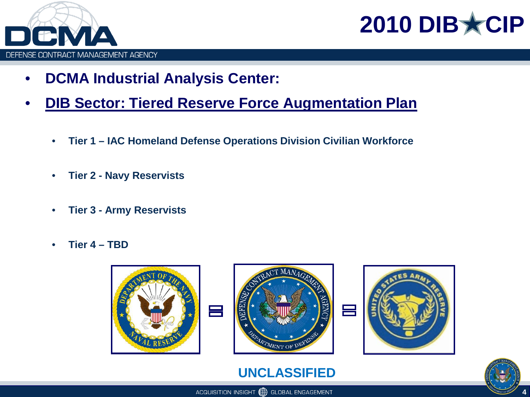



- **DCMA Industrial Analysis Center:**
- **DIB Sector: Tiered Reserve Force Augmentation Plan**
	- **Tier 1 – IAC Homeland Defense Operations Division Civilian Workforce**
	- **Tier 2 - Navy Reservists**
	- **Tier 3 - Army Reservists**
	- **Tier 4 – TBD**







## **UNCLASSIFIED**

ACQUISITION INSIGHT (H) GLOBAL ENGAGEMENT